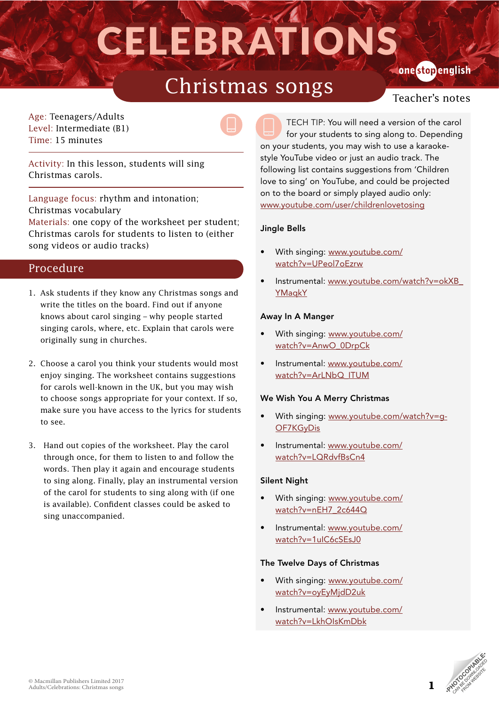# CELEBRATIONS onestopenglish

## Christmas songs

Age: Teenagers/Adults Level: Intermediate (B1) Time: 15 minutes



Activity: In this lesson, students will sing Christmas carols.

Language focus: rhythm and intonation; Christmas vocabulary Materials: one copy of the worksheet per student; Christmas carols for students to listen to (either song videos or audio tracks)

### Procedure

- 1. Ask students if they know any Christmas songs and write the titles on the board. Find out if anyone knows about carol singing – why people started singing carols, where, etc. Explain that carols were originally sung in churches.
- 2. Choose a carol you think your students would most enjoy singing. The worksheet contains suggestions for carols well-known in the UK, but you may wish to choose songs appropriate for your context. If so, make sure you have access to the lyrics for students to see.
- 3. Hand out copies of the worksheet. Play the carol through once, for them to listen to and follow the words. Then play it again and encourage students to sing along. Finally, play an instrumental version of the carol for students to sing along with (if one is available). Confident classes could be asked to sing unaccompanied.

TECH TIP: You will need a version of the carol for your students to sing along to. Depending on your students, you may wish to use a karaokestyle YouTube video or just an audio track. The following list contains suggestions from 'Children love to sing' on YouTube, and could be projected on to the board or simply played audio only: [www.youtube.com/user/childrenlovetosing](http://www.youtube.com/user/childrenlovetosing)

### Jingle Bells

- With singing: [www.youtube.com/](http://www.youtube.com/watch?v=UPeol7oEzrw) [watch?v=UPeol7oEzrw](http://www.youtube.com/watch?v=UPeol7oEzrw)
- Instrumental: [www.youtube.com/watch?v=okXB\\_](http://www.youtube.com/watch?v=okXB_YMaqkY ) [YMaqkY](http://www.youtube.com/watch?v=okXB_YMaqkY )

### Away In A Manger

- With singing: [www.youtube.com/](http://www.youtube.com/watch?v=AnwO_0DrpCk) [watch?v=AnwO\\_0DrpCk](http://www.youtube.com/watch?v=AnwO_0DrpCk)
- Instrumental: [www.youtube.com/](http://www.youtube.com/watch?v=ArLNbQ_ITUM) [watch?v=ArLNbQ\\_ITUM](http://www.youtube.com/watch?v=ArLNbQ_ITUM)

### We Wish You A Merry Christmas

- With singing: [www.youtube.com/watch?v=g-](http://www.youtube.com/watch?v=g-OF7KGyDis)[OF7KGyDis](http://www.youtube.com/watch?v=g-OF7KGyDis)
- Instrumental: [www.youtube.com/](http://www.youtube.com/watch?v=LQRdvfBsCn4) [watch?v=LQRdvfBsCn4](http://www.youtube.com/watch?v=LQRdvfBsCn4)

### Silent Night

- With singing: [www.youtube.com/](http://www.youtube.com/watch?v=nEH7_2c644Q) [watch?v=nEH7\\_2c644Q](http://www.youtube.com/watch?v=nEH7_2c644Q)
- Instrumental: [www.youtube.com/](http://www.youtube.com/watch?v=1uIC6cSEsJ0) [watch?v=1uIC6cSEsJ0](http://www.youtube.com/watch?v=1uIC6cSEsJ0)

### The Twelve Days of Christmas

- With singing: [www.youtube.com/](http://www.youtube.com/watch?v=oyEyMjdD2uk) [watch?v=oyEyMjdD2uk](http://www.youtube.com/watch?v=oyEyMjdD2uk)
- Instrumental: [www.youtube.com/](http://www.youtube.com/watch?v=LkhOIsKmDbk) [watch?v=LkhOIsKmDbk](http://www.youtube.com/watch?v=LkhOIsKmDbk)

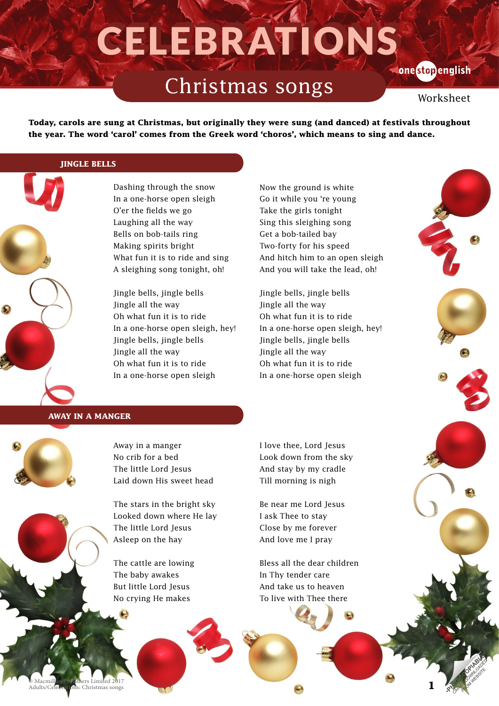# CELEBRATIONS

### Christmas songs

### **Conestopenglish**

**1**

Worksheet

**Today, carols are sung at Christmas, but originally they were sung (and danced) at festivals throughout the year. The word 'carol' comes from the Greek word 'choros', which means to sing and dance.**

### **JINGLE BELLS**

Dashing through the snow In a one-horse open sleigh O'er the fields we go Laughing all the way Bells on bob-tails ring Making spirits bright What fun it is to ride and sing A sleighing song tonight, oh!

Jingle bells, jingle bells Jingle all the way Oh what fun it is to ride In a one-horse open sleigh, hey! Jingle bells, jingle bells Jingle all the way Oh what fun it is to ride In a one-horse open sleigh

Now the ground is white Go it while you 're young Take the girls tonight Sing this sleighing song Get a bob-tailed bay Two-forty for his speed And hitch him to an open sleigh And you will take the lead, oh!

Jingle bells, jingle bells Jingle all the way Oh what fun it is to ride In a one-horse open sleigh, hey! Jingle bells, jingle bells Jingle all the way Oh what fun it is to ride In a one-horse open sleigh

#### **AWAY IN A MANGER**



Away in a manger No crib for a bed The little Lord Jesus Laid down His sweet head

The stars in the bright sky Looked down where He lay The little Lord Jesus Asleep on the hay

The cattle are lowing The baby awakes But little Lord Jesus No crying He makes

I love thee, Lord Jesus Look down from the sky And stay by my cradle Till morning is nigh

Be near me Lord Jesus I ask Thee to stay Close by me forever And love me I pray

Bless all the dear children In Thy tender care And take us to heaven To live with Thee there

© Macmillan Publishers Limited 2017 Christmas songs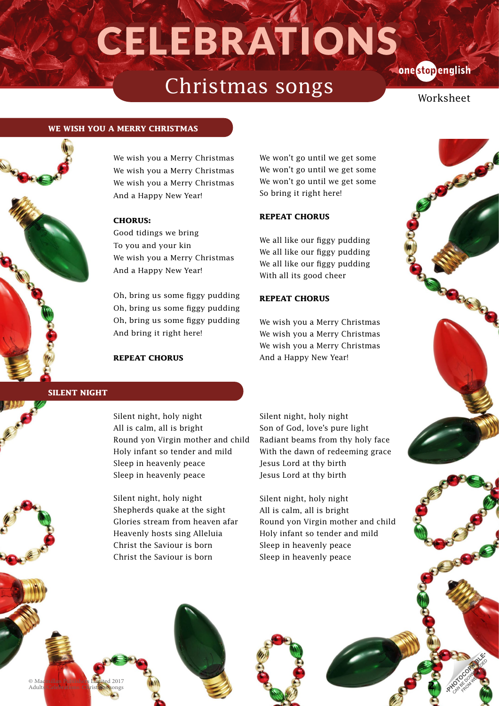# CELEBRATIONS **Conestopenglish**

### Christmas songs

**2**

Worksheet

#### **WE WISH YOU A MERRY CHRISTMAS**



We wish you a Merry Christmas We wish you a Merry Christmas We wish you a Merry Christmas And a Happy New Year!

### **CHORUS:**

Good tidings we bring To you and your kin We wish you a Merry Christmas And a Happy New Year!

Oh, bring us some figgy pudding Oh, bring us some figgy pudding Oh, bring us some figgy pudding And bring it right here!

#### **REPEAT CHORUS**

We won't go until we get some We won't go until we get some We won't go until we get some So bring it right here!

### **REPEAT CHORUS**

We all like our figgy pudding We all like our figgy pudding We all like our figgy pudding With all its good cheer

### **REPEAT CHORUS**

We wish you a Merry Christmas We wish you a Merry Christmas We wish you a Merry Christmas And a Happy New Year!

### **SILENT NIGHT**

Silent night, holy night All is calm, all is bright Round yon Virgin mother and child Holy infant so tender and mild Sleep in heavenly peace Sleep in heavenly peace

Silent night, holy night Shepherds quake at the sight Glories stream from heaven afar Heavenly hosts sing Alleluia Christ the Saviour is born Christ the Saviour is born

Silent night, holy night Son of God, love's pure light Radiant beams from thy holy face With the dawn of redeeming grace Jesus Lord at thy birth Jesus Lord at thy birth

Silent night, holy night All is calm, all is bright Round yon Virgin mother and child Holy infant so tender and mild Sleep in heavenly peace Sleep in heavenly peace